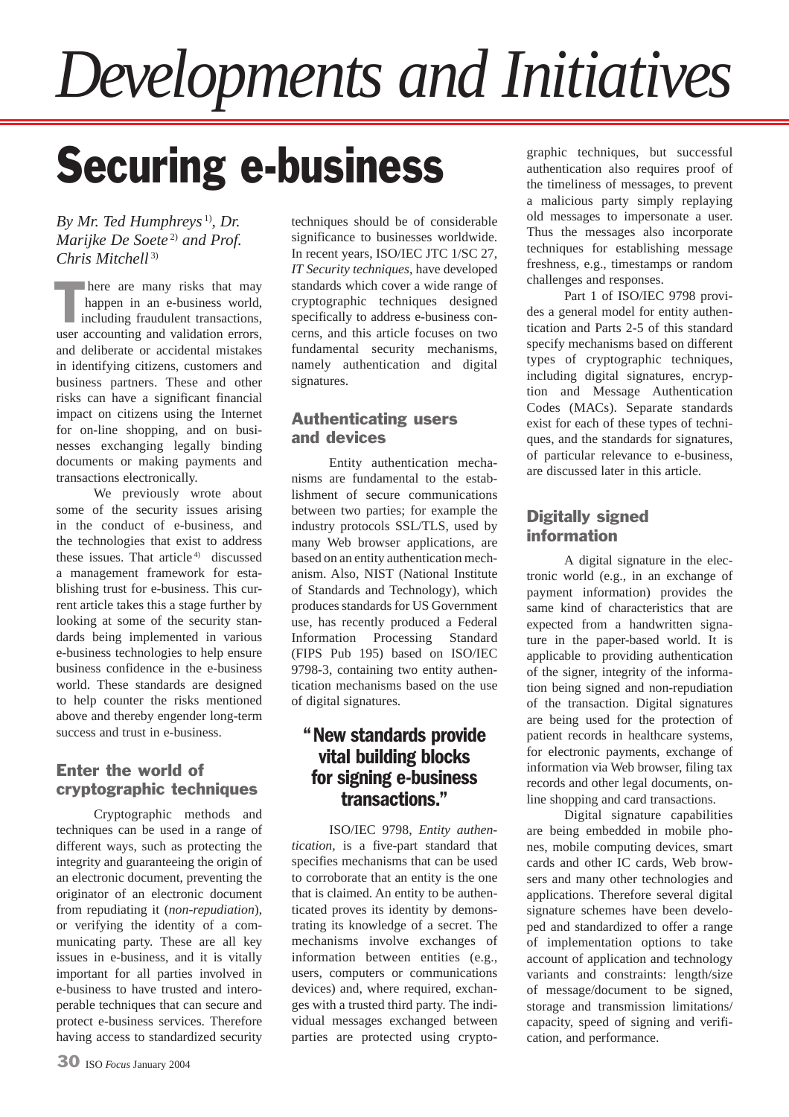# *Developments and Initiatives*

## Securing e-business

*By Mr. Ted Humphreys* 1)*, Dr. Marijke De Soete* 2) *and Prof. Chris Mitchell* 3)

here are many risks that may happen in an e-business world, including fraudulent transactions, here are many risks that may happen in an e-business world, including fraudulent transactions, user accounting and validation errors, and deliberate or accidental mistakes in identifying citizens, customers and business partners. These and other risks can have a significant financial impact on citizens using the Internet for on-line shopping, and on businesses exchanging legally binding documents or making payments and transactions electronically.

We previously wrote about some of the security issues arising in the conduct of e-business, and the technologies that exist to address these issues. That article<sup>4)</sup> discussed a management framework for establishing trust for e-business. This current article takes this a stage further by looking at some of the security standards being implemented in various e-business technologies to help ensure business confidence in the e-business world. These standards are designed to help counter the risks mentioned above and thereby engender long-term success and trust in e-business.

#### Enter the world of cryptographic techniques

Cryptographic methods and techniques can be used in a range of different ways, such as protecting the integrity and guaranteeing the origin of an electronic document, preventing the originator of an electronic document from repudiating it (*non-repudiation*), or verifying the identity of a communicating party. These are all key issues in e-business, and it is vitally important for all parties involved in e-business to have trusted and interoperable techniques that can secure and protect e-business services. Therefore having access to standardized security techniques should be of considerable significance to businesses worldwide. In recent years, ISO/IEC JTC 1/SC 27, *IT Security techniques*, have developed standards which cover a wide range of cryptographic techniques designed specifically to address e-business concerns, and this article focuses on two fundamental security mechanisms, namely authentication and digital signatures.

#### Authenticating users and devices

Entity authentication mechanisms are fundamental to the establishment of secure communications between two parties; for example the industry protocols SSL/TLS, used by many Web browser applications, are based on an entity authentication mechanism. Also, NIST (National Institute of Standards and Technology), which produces standards for US Government use, has recently produced a Federal Information Processing Standard (FIPS Pub 195) based on ISO/IEC 9798-3, containing two entity authentication mechanisms based on the use of digital signatures.

#### **" New standards provide vital building blocks for signing e-business transactions."**

ISO/IEC 9798, *Entity authentication,* is a five-part standard that specifies mechanisms that can be used to corroborate that an entity is the one that is claimed. An entity to be authenticated proves its identity by demonstrating its knowledge of a secret. The mechanisms involve exchanges of information between entities (e.g., users, computers or communications devices) and, where required, exchanges with a trusted third party. The individual messages exchanged between parties are protected using cryptographic techniques, but successful authentication also requires proof of the timeliness of messages, to prevent a malicious party simply replaying old messages to impersonate a user. Thus the messages also incorporate techniques for establishing message freshness, e.g., timestamps or random challenges and responses.

Part 1 of ISO/IEC 9798 provides a general model for entity authentication and Parts 2-5 of this standard specify mechanisms based on different types of cryptographic techniques, including digital signatures, encryption and Message Authentication Codes (MACs). Separate standards exist for each of these types of techniques, and the standards for signatures, of particular relevance to e-business, are discussed later in this article.

#### Digitally signed information

A digital signature in the electronic world (e.g., in an exchange of payment information) provides the same kind of characteristics that are expected from a handwritten signature in the paper-based world. It is applicable to providing authentication of the signer, integrity of the information being signed and non-repudiation of the transaction. Digital signatures are being used for the protection of patient records in healthcare systems, for electronic payments, exchange of information via Web browser, filing tax records and other legal documents, online shopping and card transactions.

Digital signature capabilities are being embedded in mobile phones, mobile computing devices, smart cards and other IC cards, Web browsers and many other technologies and applications. Therefore several digital signature schemes have been developed and standardized to offer a range of implementation options to take account of application and technology variants and constraints: length/size of message/document to be signed, storage and transmission limitations/ capacity, speed of signing and verification, and performance.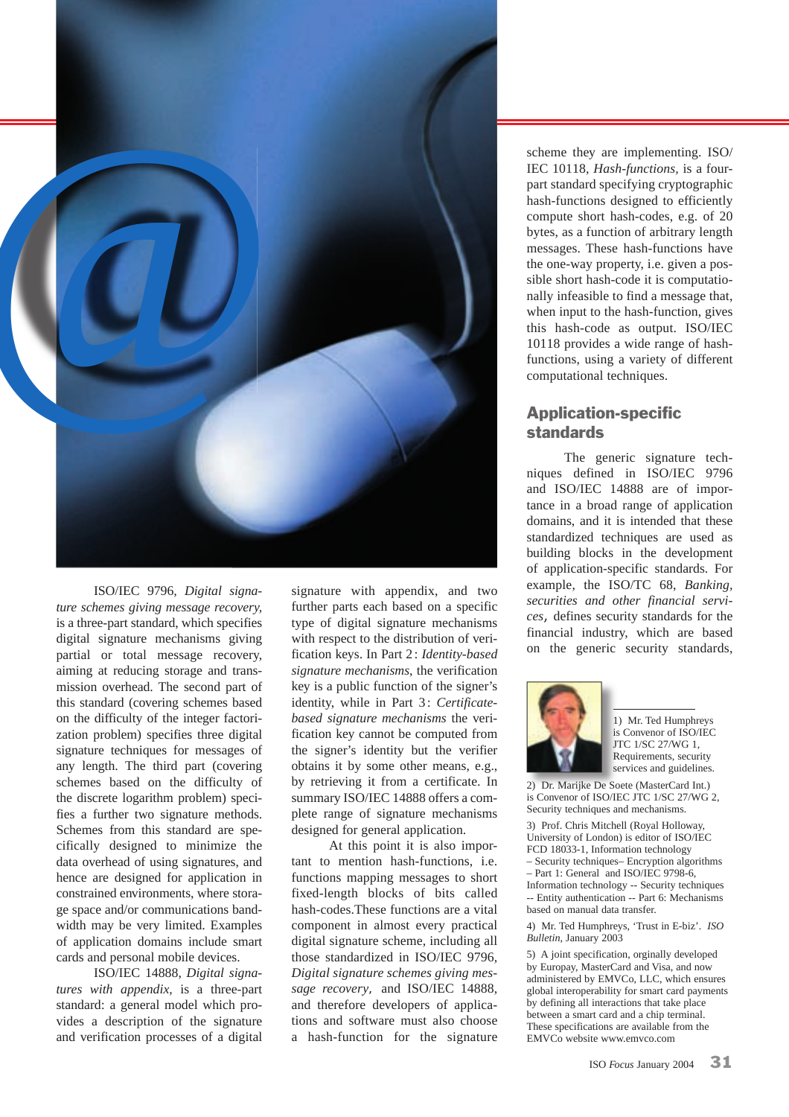

ISO/IEC 9796*, Digital signature schemes giving message recovery,*  is a three-part standard, which specifies digital signature mechanisms giving partial or total message recovery, aiming at reducing storage and transmission overhead. The second part of this standard (covering schemes based on the difficulty of the integer factorization problem) specifies three digital signature techniques for messages of any length. The third part (covering schemes based on the difficulty of the discrete logarithm problem) specifies a further two signature methods. Schemes from this standard are specifically designed to minimize the data overhead of using signatures, and hence are designed for application in constrained environments, where storage space and/or communications bandwidth may be very limited. Examples of application domains include smart cards and personal mobile devices.

ISO/IEC 14888, *Digital signatures with appendix,* is a three-part standard: a general model which provides a description of the signature and verification processes of a digital signature with appendix, and two further parts each based on a specific type of digital signature mechanisms with respect to the distribution of verification keys. In Part 2 : *Identity-based signature mechanisms*, the verification key is a public function of the signer's identity, while in Part 3: Certificate*based signature mechanisms* the verification key cannot be computed from the signer's identity but the verifier obtains it by some other means, e.g., by retrieving it from a certificate. In summary ISO/IEC 14888 offers a complete range of signature mechanisms designed for general application.

At this point it is also important to mention hash-functions, i.e. functions mapping messages to short fixed-length blocks of bits called hash-codes.These functions are a vital component in almost every practical digital signature scheme, including all those standardized in ISO/IEC 9796*, Digital signature schemes giving message recovery*, and ISO/IEC 14888, and therefore developers of applications and software must also choose a hash-function for the signature scheme they are implementing. ISO/ IEC 10118*, Hash-functions,* is a fourpart standard specifying cryptographic hash-functions designed to efficiently compute short hash-codes, e.g. of 20 bytes, as a function of arbitrary length messages. These hash-functions have the one-way property, i.e. given a possible short hash-code it is computationally infeasible to find a message that, when input to the hash-function, gives this hash-code as output. ISO/IEC 10118 provides a wide range of hashfunctions, using a variety of different computational techniques.

#### Application-specific standards

The generic signature techniques defined in ISO/IEC 9796 and ISO/IEC 14888 are of importance in a broad range of application domains, and it is intended that these standardized techniques are used as building blocks in the development of application-specific standards. For example, the ISO/TC 68, *Banking, securities and other financial services,* defines security standards for the financial industry, which are based on the generic security standards,



1) Mr. Ted Humphreys is Convenor of ISO/IEC JTC 1/SC 27/WG 1, Requirements, security services and guidelines.

2) Dr. Marijke De Soete (MasterCard Int.) is Convenor of ISO/IEC JTC 1/SC 27/WG 2, Security techniques and mechanisms.

3) Prof. Chris Mitchell (Royal Holloway, University of London) is editor of ISO/IEC FCD 18033-1, Information technology – Security techniques– Encryption algorithms – Part 1: General and ISO/IEC 9798-6, Information technology -- Security techniques -- Entity authentication -- Part 6: Mechanisms based on manual data transfer.

4) Mr. Ted Humphreys, 'Trust in E-biz'. *ISO Bulletin*, January 2003

5) A joint specification, orginally developed by Europay, MasterCard and Visa, and now administered by EMVCo, LLC, which ensures global interoperability for smart card payments by defining all interactions that take place between a smart card and a chip terminal. These specifications are available from the EMVCo website www.emvco.com